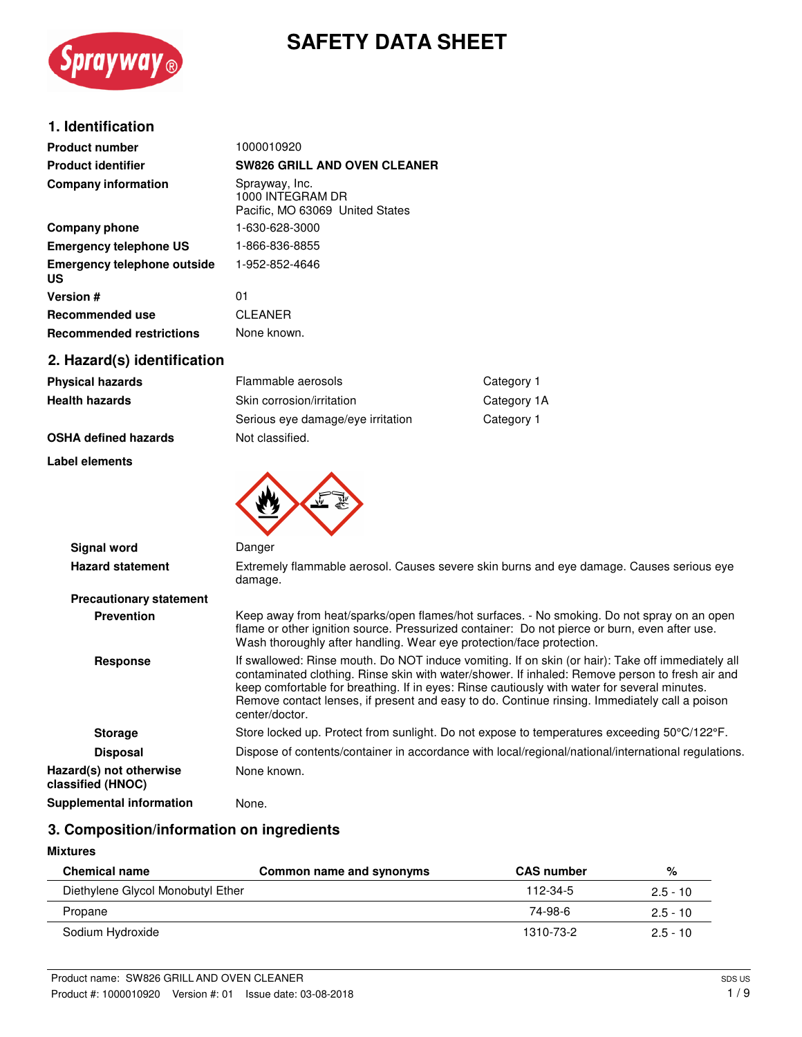

# **SAFETY DATA SHEET**

## **1. Identification**

| <b>Product number</b>                    | 1000010920                                                            |
|------------------------------------------|-----------------------------------------------------------------------|
| <b>Product identifier</b>                | <b>SW826 GRILL AND OVEN CLEANER</b>                                   |
| <b>Company information</b>               | Sprayway, Inc.<br>1000 INTEGRAM DR<br>Pacific, MO 63069 United States |
| Company phone                            | 1-630-628-3000                                                        |
| <b>Emergency telephone US</b>            | 1-866-836-8855                                                        |
| <b>Emergency telephone outside</b><br>US | 1-952-852-4646                                                        |
| <b>Version #</b>                         | 01                                                                    |
| <b>Recommended use</b>                   | <b>CLEANER</b>                                                        |
| <b>Recommended restrictions</b>          | None known.                                                           |
| 2. Hazard(s) identification              |                                                                       |

| <b>Physical hazards</b>     | Flammable aerosols                | Category 1  |
|-----------------------------|-----------------------------------|-------------|
| <b>Health hazards</b>       | Skin corrosion/irritation         | Category 1A |
|                             | Serious eye damage/eye irritation | Category 1  |
| <b>OSHA defined hazards</b> | Not classified.                   |             |

**Label elements**

| <b>Signal word</b>                           | Danger                                                                                                                                                                                                                                                                                                                                                                                                                  |
|----------------------------------------------|-------------------------------------------------------------------------------------------------------------------------------------------------------------------------------------------------------------------------------------------------------------------------------------------------------------------------------------------------------------------------------------------------------------------------|
| <b>Hazard statement</b>                      | Extremely flammable aerosol. Causes severe skin burns and eye damage. Causes serious eye<br>damage.                                                                                                                                                                                                                                                                                                                     |
| <b>Precautionary statement</b>               |                                                                                                                                                                                                                                                                                                                                                                                                                         |
| <b>Prevention</b>                            | Keep away from heat/sparks/open flames/hot surfaces. - No smoking. Do not spray on an open<br>flame or other ignition source. Pressurized container: Do not pierce or burn, even after use.<br>Wash thoroughly after handling. Wear eye protection/face protection.                                                                                                                                                     |
| Response                                     | If swallowed: Rinse mouth. Do NOT induce vomiting. If on skin (or hair): Take off immediately all<br>contaminated clothing. Rinse skin with water/shower. If inhaled: Remove person to fresh air and<br>keep comfortable for breathing. If in eyes: Rinse cautiously with water for several minutes.<br>Remove contact lenses, if present and easy to do. Continue rinsing. Immediately call a poison<br>center/doctor. |
| <b>Storage</b>                               | Store locked up. Protect from sunlight. Do not expose to temperatures exceeding 50°C/122°F.                                                                                                                                                                                                                                                                                                                             |
| <b>Disposal</b>                              | Dispose of contents/container in accordance with local/regional/national/international regulations.                                                                                                                                                                                                                                                                                                                     |
| Hazard(s) not otherwise<br>classified (HNOC) | None known.                                                                                                                                                                                                                                                                                                                                                                                                             |
| Supplemental information                     | None.                                                                                                                                                                                                                                                                                                                                                                                                                   |

## **3. Composition/information on ingredients**

#### **Mixtures**

| <b>Chemical name</b>              | Common name and synonyms | <b>CAS number</b> | %          |
|-----------------------------------|--------------------------|-------------------|------------|
| Diethylene Glycol Monobutyl Ether |                          | 112-34-5          | $2.5 - 10$ |
| Propane                           |                          | 74-98-6           | $2.5 - 10$ |
| Sodium Hydroxide                  |                          | 1310-73-2         | $2.5 - 10$ |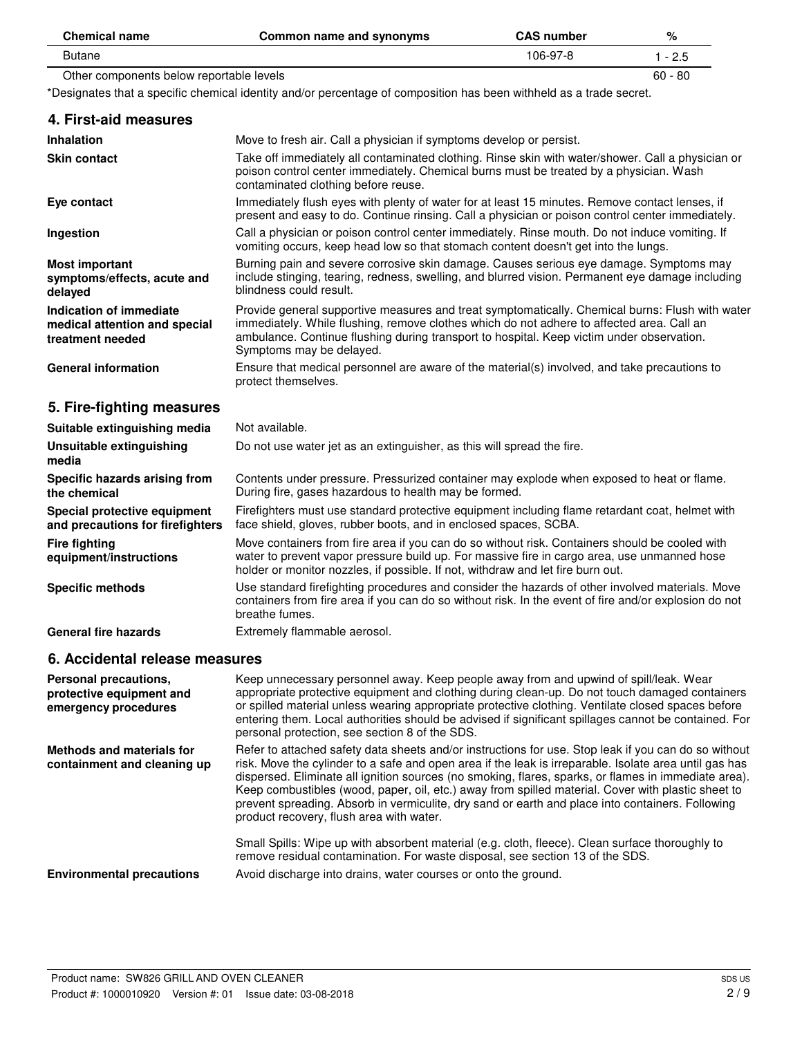| <b>Chemical name</b>                     | Common name and synonyms | <b>CAS</b> number | %             |
|------------------------------------------|--------------------------|-------------------|---------------|
| Butane                                   |                          | 106-97-8          | $-2.5$        |
| Other components below reportable levels |                          |                   | $60 -$<br>-80 |

\*Designates that a specific chemical identity and/or percentage of composition has been withheld as a trade secret.

| 4. First-aid measures                                                        |                                                                                                                                                                                                                                                                                                                       |
|------------------------------------------------------------------------------|-----------------------------------------------------------------------------------------------------------------------------------------------------------------------------------------------------------------------------------------------------------------------------------------------------------------------|
| <b>Inhalation</b>                                                            | Move to fresh air. Call a physician if symptoms develop or persist.                                                                                                                                                                                                                                                   |
| <b>Skin contact</b>                                                          | Take off immediately all contaminated clothing. Rinse skin with water/shower. Call a physician or<br>poison control center immediately. Chemical burns must be treated by a physician. Wash<br>contaminated clothing before reuse.                                                                                    |
| Eye contact                                                                  | Immediately flush eyes with plenty of water for at least 15 minutes. Remove contact lenses, if<br>present and easy to do. Continue rinsing. Call a physician or poison control center immediately.                                                                                                                    |
| Ingestion                                                                    | Call a physician or poison control center immediately. Rinse mouth. Do not induce vomiting. If<br>vomiting occurs, keep head low so that stomach content doesn't get into the lungs.                                                                                                                                  |
| <b>Most important</b><br>symptoms/effects, acute and<br>delayed              | Burning pain and severe corrosive skin damage. Causes serious eye damage. Symptoms may<br>include stinging, tearing, redness, swelling, and blurred vision. Permanent eye damage including<br>blindness could result.                                                                                                 |
| Indication of immediate<br>medical attention and special<br>treatment needed | Provide general supportive measures and treat symptomatically. Chemical burns: Flush with water<br>immediately. While flushing, remove clothes which do not adhere to affected area. Call an<br>ambulance. Continue flushing during transport to hospital. Keep victim under observation.<br>Symptoms may be delayed. |
| <b>General information</b>                                                   | Ensure that medical personnel are aware of the material(s) involved, and take precautions to<br>protect themselves.                                                                                                                                                                                                   |
| 5. Fire-fighting measures                                                    |                                                                                                                                                                                                                                                                                                                       |
| Suitable extinguishing media                                                 | Not available.                                                                                                                                                                                                                                                                                                        |
| Unsuitable extinguishing<br>media                                            | Do not use water jet as an extinguisher, as this will spread the fire.                                                                                                                                                                                                                                                |
| Specific hazards arising from<br>the chemical                                | Contents under pressure. Pressurized container may explode when exposed to heat or flame.<br>During fire, gases hazardous to health may be formed.                                                                                                                                                                    |
| Special protective equipment<br>and precautions for firefighters             | Firefighters must use standard protective equipment including flame retardant coat, helmet with<br>face shield, gloves, rubber boots, and in enclosed spaces, SCBA.                                                                                                                                                   |
| <b>Fire fighting</b><br>equipment/instructions                               | Move containers from fire area if you can do so without risk. Containers should be cooled with<br>water to prevent vapor pressure build up. For massive fire in cargo area, use unmanned hose<br>holder or monitor nozzles, if possible. If not, withdraw and let fire burn out.                                      |
| <b>Specific methods</b>                                                      | Use standard firefighting procedures and consider the hazards of other involved materials. Move<br>containers from fire area if you can do so without risk. In the event of fire and/or explosion do not<br>breathe fumes.                                                                                            |
| General fire hazards                                                         | Extremely flammable aerosol.                                                                                                                                                                                                                                                                                          |
| 6. Accidental release measures                                               |                                                                                                                                                                                                                                                                                                                       |
| Personal precautions,<br>protective equipment and                            | Keep unnecessary personnel away. Keep people away from and upwind of spill/leak. Wear<br>appropriate protective equipment and clothing during clean-up. Do not touch damaged containers<br>er epilled meterial unlege weering enprepriete pretective elething. Ventilete eleced encoes before                         |

or spilled material unless wearing appropriate protective clothing. Ventilate closed spaces before entering them. Local authorities should be advised if significant spillages cannot be contained. For personal protection, see section 8 of the SDS. **emergency procedures** Refer to attached safety data sheets and/or instructions for use. Stop leak if you can do so without risk. Move the cylinder to a safe and open area if the leak is irreparable. Isolate area until gas has dispersed. Eliminate all ignition sources (no smoking, flares, sparks, or flames in immediate area). Keep combustibles (wood, paper, oil, etc.) away from spilled material. Cover with plastic sheet to prevent spreading. Absorb in vermiculite, dry sand or earth and place into containers. Following product recovery, flush area with water. Small Spills: Wipe up with absorbent material (e.g. cloth, fleece). Clean surface thoroughly to remove residual contamination. For waste disposal, see section 13 of the SDS. **Methods and materials for containment and cleaning up Environmental precautions** Avoid discharge into drains, water courses or onto the ground.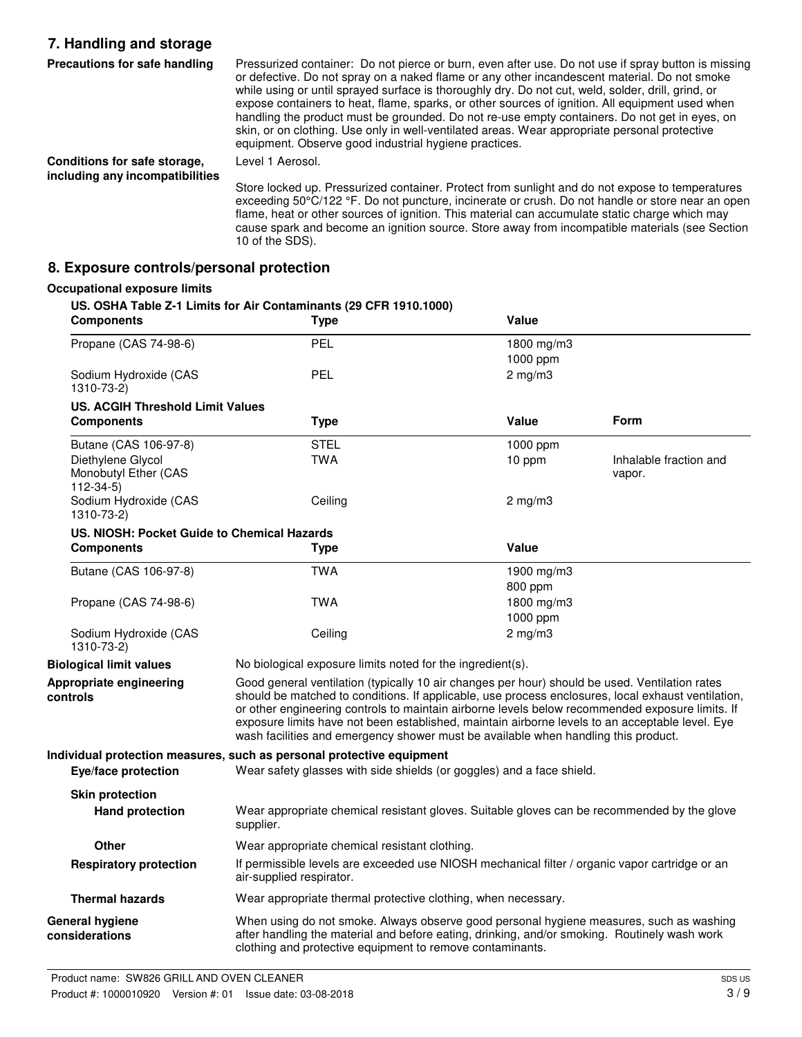## **7. Handling and storage**

| Precautions for safe handling                                   | Pressurized container: Do not pierce or burn, even after use. Do not use if spray button is missing<br>or defective. Do not spray on a naked flame or any other incandescent material. Do not smoke<br>while using or until sprayed surface is thoroughly dry. Do not cut, weld, solder, drill, grind, or<br>expose containers to heat, flame, sparks, or other sources of ignition. All equipment used when<br>handling the product must be grounded. Do not re-use empty containers. Do not get in eyes, on<br>skin, or on clothing. Use only in well-ventilated areas. Wear appropriate personal protective<br>equipment. Observe good industrial hygiene practices. |
|-----------------------------------------------------------------|-------------------------------------------------------------------------------------------------------------------------------------------------------------------------------------------------------------------------------------------------------------------------------------------------------------------------------------------------------------------------------------------------------------------------------------------------------------------------------------------------------------------------------------------------------------------------------------------------------------------------------------------------------------------------|
| Conditions for safe storage,<br>including any incompatibilities | Level 1 Aerosol.                                                                                                                                                                                                                                                                                                                                                                                                                                                                                                                                                                                                                                                        |
|                                                                 | Store locked up. Pressurized container. Protect from sunlight and do not expose to temperatures<br>exceeding 50°C/122 °F. Do not puncture, incinerate or crush. Do not handle or store near an open<br>flame, heat or other sources of ignition. This material can accumulate static charge which may                                                                                                                                                                                                                                                                                                                                                                   |

cause spark and become an ignition source. Store away from incompatible materials (see Section

### **8. Exposure controls/personal protection**

#### **Occupational exposure limits**

### **US. OSHA Table Z-1 Limits for Air Contaminants (29 CFR 1910.1000)**

10 of the SDS).

| <b>Components</b>                                           | Type                                                                                                                                                                                                                                                                                                                                                                                                                                                                                             | Value            |                                  |
|-------------------------------------------------------------|--------------------------------------------------------------------------------------------------------------------------------------------------------------------------------------------------------------------------------------------------------------------------------------------------------------------------------------------------------------------------------------------------------------------------------------------------------------------------------------------------|------------------|----------------------------------|
| Propane (CAS 74-98-6)                                       | PEL                                                                                                                                                                                                                                                                                                                                                                                                                                                                                              | 1800 mg/m3       |                                  |
|                                                             |                                                                                                                                                                                                                                                                                                                                                                                                                                                                                                  | 1000 ppm         |                                  |
| Sodium Hydroxide (CAS<br>1310-73-2)                         | <b>PEL</b>                                                                                                                                                                                                                                                                                                                                                                                                                                                                                       | $2$ mg/m $3$     |                                  |
| <b>US. ACGIH Threshold Limit Values</b>                     |                                                                                                                                                                                                                                                                                                                                                                                                                                                                                                  |                  |                                  |
| <b>Components</b>                                           | <b>Type</b>                                                                                                                                                                                                                                                                                                                                                                                                                                                                                      | Value            | Form                             |
| Butane (CAS 106-97-8)                                       | <b>STEL</b>                                                                                                                                                                                                                                                                                                                                                                                                                                                                                      | 1000 ppm         |                                  |
| Diethylene Glycol<br>Monobutyl Ether (CAS<br>$112 - 34 - 5$ | TWA                                                                                                                                                                                                                                                                                                                                                                                                                                                                                              | 10 ppm           | Inhalable fraction and<br>vapor. |
| Sodium Hydroxide (CAS<br>1310-73-2)                         | Ceiling                                                                                                                                                                                                                                                                                                                                                                                                                                                                                          | $2 \text{ mg/m}$ |                                  |
| US. NIOSH: Pocket Guide to Chemical Hazards                 |                                                                                                                                                                                                                                                                                                                                                                                                                                                                                                  |                  |                                  |
| <b>Components</b>                                           | <b>Type</b>                                                                                                                                                                                                                                                                                                                                                                                                                                                                                      | <b>Value</b>     |                                  |
| Butane (CAS 106-97-8)                                       | <b>TWA</b>                                                                                                                                                                                                                                                                                                                                                                                                                                                                                       | 1900 mg/m3       |                                  |
|                                                             |                                                                                                                                                                                                                                                                                                                                                                                                                                                                                                  | 800 ppm          |                                  |
| Propane (CAS 74-98-6)                                       | <b>TWA</b>                                                                                                                                                                                                                                                                                                                                                                                                                                                                                       | 1800 mg/m3       |                                  |
|                                                             |                                                                                                                                                                                                                                                                                                                                                                                                                                                                                                  | 1000 ppm         |                                  |
| Sodium Hydroxide (CAS<br>1310-73-2)                         | Ceiling                                                                                                                                                                                                                                                                                                                                                                                                                                                                                          | $2$ mg/m $3$     |                                  |
| <b>Biological limit values</b>                              | No biological exposure limits noted for the ingredient(s).                                                                                                                                                                                                                                                                                                                                                                                                                                       |                  |                                  |
| Appropriate engineering<br>controls                         | Good general ventilation (typically 10 air changes per hour) should be used. Ventilation rates<br>should be matched to conditions. If applicable, use process enclosures, local exhaust ventilation,<br>or other engineering controls to maintain airborne levels below recommended exposure limits. If<br>exposure limits have not been established, maintain airborne levels to an acceptable level. Eye<br>wash facilities and emergency shower must be available when handling this product. |                  |                                  |
| Eye/face protection                                         | Individual protection measures, such as personal protective equipment<br>Wear safety glasses with side shields (or goggles) and a face shield.                                                                                                                                                                                                                                                                                                                                                   |                  |                                  |
| <b>Skin protection</b>                                      |                                                                                                                                                                                                                                                                                                                                                                                                                                                                                                  |                  |                                  |
| <b>Hand protection</b>                                      | Wear appropriate chemical resistant gloves. Suitable gloves can be recommended by the glove<br>supplier.                                                                                                                                                                                                                                                                                                                                                                                         |                  |                                  |
| Other                                                       | Wear appropriate chemical resistant clothing.                                                                                                                                                                                                                                                                                                                                                                                                                                                    |                  |                                  |
| <b>Respiratory protection</b>                               | If permissible levels are exceeded use NIOSH mechanical filter / organic vapor cartridge or an<br>air-supplied respirator.                                                                                                                                                                                                                                                                                                                                                                       |                  |                                  |
| <b>Thermal hazards</b>                                      | Wear appropriate thermal protective clothing, when necessary.                                                                                                                                                                                                                                                                                                                                                                                                                                    |                  |                                  |
| <b>General hygiene</b><br>considerations                    | When using do not smoke. Always observe good personal hygiene measures, such as washing<br>after handling the material and before eating, drinking, and/or smoking. Routinely wash work<br>clothing and protective equipment to remove contaminants.                                                                                                                                                                                                                                             |                  |                                  |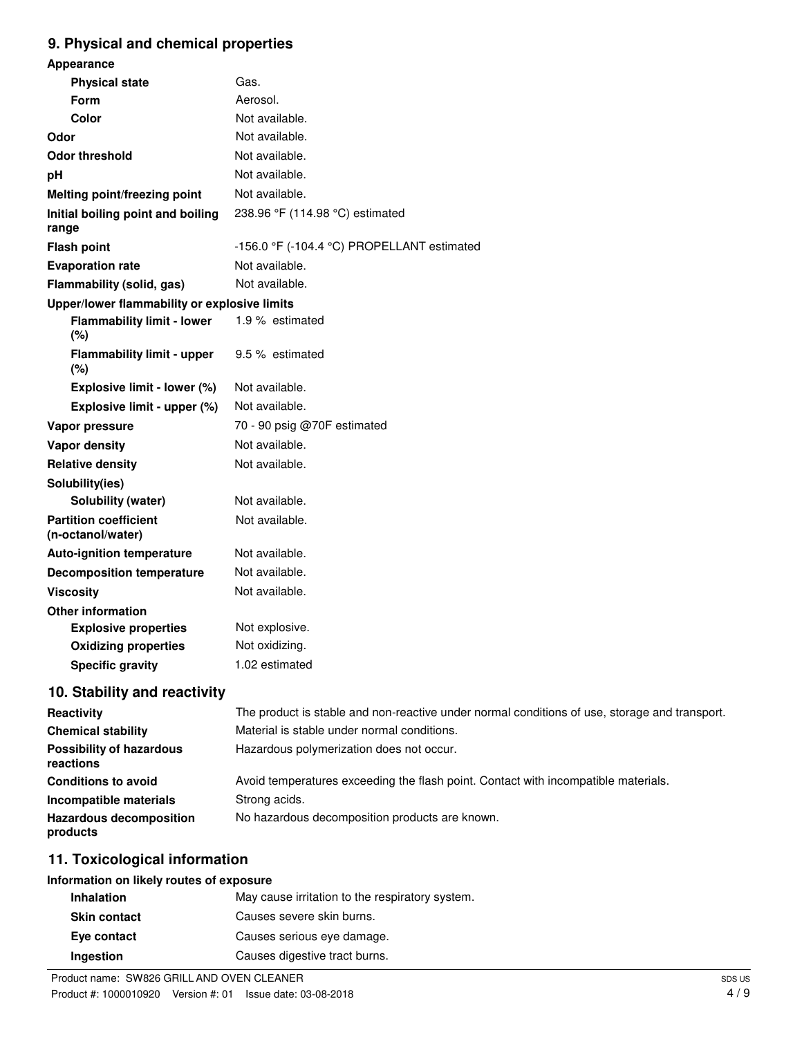## **9. Physical and chemical properties**

| <b>Appearance</b>                                 |                                                                                               |
|---------------------------------------------------|-----------------------------------------------------------------------------------------------|
| <b>Physical state</b>                             | Gas.                                                                                          |
| <b>Form</b>                                       | Aerosol.                                                                                      |
| Color                                             | Not available.                                                                                |
| Odor                                              | Not available.                                                                                |
| <b>Odor threshold</b>                             | Not available.                                                                                |
| рH                                                | Not available.                                                                                |
| Melting point/freezing point                      | Not available.                                                                                |
| Initial boiling point and boiling<br>range        | 238.96 °F (114.98 °C) estimated                                                               |
| <b>Flash point</b>                                | -156.0 °F (-104.4 °C) PROPELLANT estimated                                                    |
| <b>Evaporation rate</b>                           | Not available.                                                                                |
| Flammability (solid, gas)                         | Not available.                                                                                |
| Upper/lower flammability or explosive limits      |                                                                                               |
| <b>Flammability limit - lower</b><br>(%)          | 1.9 % estimated                                                                               |
| Flammability limit - upper<br>(%)                 | 9.5 % estimated                                                                               |
| Explosive limit - lower (%)                       | Not available.                                                                                |
| Explosive limit - upper (%)                       | Not available.                                                                                |
| Vapor pressure                                    | 70 - 90 psig @70F estimated                                                                   |
| <b>Vapor density</b>                              | Not available.                                                                                |
| <b>Relative density</b>                           | Not available.                                                                                |
| Solubility(ies)                                   |                                                                                               |
| Solubility (water)                                | Not available.                                                                                |
| <b>Partition coefficient</b><br>(n-octanol/water) | Not available.                                                                                |
| <b>Auto-ignition temperature</b>                  | Not available.                                                                                |
| <b>Decomposition temperature</b>                  | Not available.                                                                                |
| <b>Viscosity</b>                                  | Not available.                                                                                |
| <b>Other information</b>                          |                                                                                               |
| <b>Explosive properties</b>                       | Not explosive.                                                                                |
| <b>Oxidizing properties</b>                       | Not oxidizing.                                                                                |
| <b>Specific gravity</b>                           | 1.02 estimated                                                                                |
| 10. Stability and reactivity                      |                                                                                               |
| <b>Reactivity</b>                                 | The product is stable and non-reactive under normal conditions of use, storage and transport. |

| <b>Reactivity</b>                            | The product is stable and non-reactive under normal conditions of use, storage and transport. |
|----------------------------------------------|-----------------------------------------------------------------------------------------------|
| <b>Chemical stability</b>                    | Material is stable under normal conditions.                                                   |
| <b>Possibility of hazardous</b><br>reactions | Hazardous polymerization does not occur.                                                      |
| <b>Conditions to avoid</b>                   | Avoid temperatures exceeding the flash point. Contact with incompatible materials.            |
| Incompatible materials                       | Strong acids.                                                                                 |
| <b>Hazardous decomposition</b><br>products   | No hazardous decomposition products are known.                                                |
|                                              |                                                                                               |

## **11. Toxicological information**

## **Information on likely routes of exposure**

| <b>Inhalation</b>   | May cause irritation to the respiratory system. |
|---------------------|-------------------------------------------------|
| <b>Skin contact</b> | Causes severe skin burns.                       |
| Eye contact         | Causes serious eye damage.                      |
| Ingestion           | Causes digestive tract burns.                   |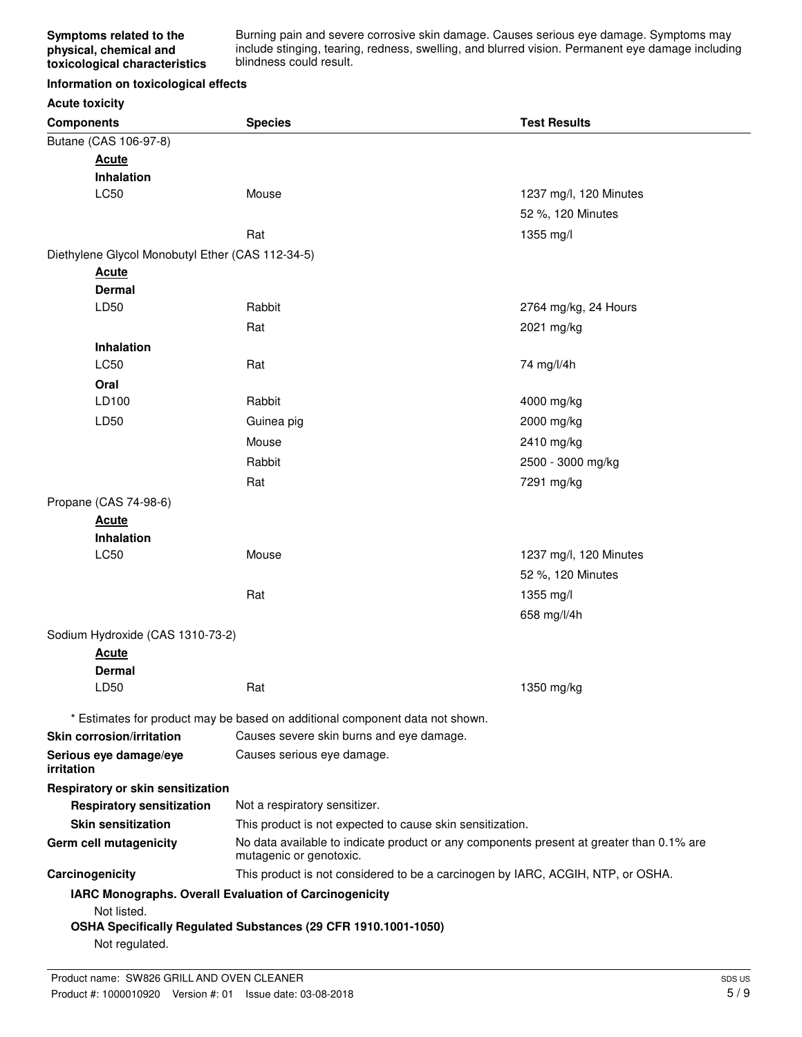Burning pain and severe corrosive skin damage. Causes serious eye damage. Symptoms may include stinging, tearing, redness, swelling, and blurred vision. Permanent eye damage including blindness could result.

#### **Information on toxicological effects**

## **Acute toxicity**

| <b>Components</b>                                | <b>Species</b>                                                                                                      | <b>Test Results</b>    |
|--------------------------------------------------|---------------------------------------------------------------------------------------------------------------------|------------------------|
| Butane (CAS 106-97-8)                            |                                                                                                                     |                        |
| <b>Acute</b>                                     |                                                                                                                     |                        |
| Inhalation                                       |                                                                                                                     |                        |
| LC50                                             | Mouse                                                                                                               | 1237 mg/l, 120 Minutes |
|                                                  |                                                                                                                     | 52 %, 120 Minutes      |
|                                                  | Rat                                                                                                                 | 1355 mg/l              |
| Diethylene Glycol Monobutyl Ether (CAS 112-34-5) |                                                                                                                     |                        |
| <b>Acute</b>                                     |                                                                                                                     |                        |
| <b>Dermal</b>                                    |                                                                                                                     |                        |
| LD50                                             | Rabbit                                                                                                              | 2764 mg/kg, 24 Hours   |
|                                                  | Rat                                                                                                                 | 2021 mg/kg             |
| Inhalation                                       |                                                                                                                     |                        |
| LC50                                             | Rat                                                                                                                 | 74 mg/l/4h             |
| Oral                                             |                                                                                                                     |                        |
| LD100                                            | Rabbit                                                                                                              | 4000 mg/kg             |
| LD50                                             | Guinea pig                                                                                                          | 2000 mg/kg             |
|                                                  | Mouse                                                                                                               | 2410 mg/kg             |
|                                                  | Rabbit                                                                                                              | 2500 - 3000 mg/kg      |
|                                                  | Rat                                                                                                                 | 7291 mg/kg             |
| Propane (CAS 74-98-6)                            |                                                                                                                     |                        |
| <b>Acute</b>                                     |                                                                                                                     |                        |
| Inhalation                                       |                                                                                                                     |                        |
| LC50                                             | Mouse                                                                                                               | 1237 mg/l, 120 Minutes |
|                                                  |                                                                                                                     | 52 %, 120 Minutes      |
|                                                  | Rat                                                                                                                 | 1355 mg/l              |
|                                                  |                                                                                                                     | 658 mg/l/4h            |
| Sodium Hydroxide (CAS 1310-73-2)                 |                                                                                                                     |                        |
| <b>Acute</b>                                     |                                                                                                                     |                        |
| <b>Dermal</b>                                    |                                                                                                                     |                        |
| LD50                                             | Rat                                                                                                                 | 1350 mg/kg             |
|                                                  | * Estimates for product may be based on additional component data not shown.                                        |                        |
| <b>Skin corrosion/irritation</b>                 | Causes severe skin burns and eye damage.                                                                            |                        |
| Serious eye damage/eye<br>irritation             | Causes serious eye damage.                                                                                          |                        |
| Respiratory or skin sensitization                |                                                                                                                     |                        |
| <b>Respiratory sensitization</b>                 | Not a respiratory sensitizer.                                                                                       |                        |
| <b>Skin sensitization</b>                        | This product is not expected to cause skin sensitization.                                                           |                        |
| Germ cell mutagenicity                           | No data available to indicate product or any components present at greater than 0.1% are<br>mutagenic or genotoxic. |                        |
| Carcinogenicity                                  | This product is not considered to be a carcinogen by IARC, ACGIH, NTP, or OSHA.                                     |                        |
| Not listed.                                      | IARC Monographs. Overall Evaluation of Carcinogenicity                                                              |                        |
| Not regulated.                                   | OSHA Specifically Regulated Substances (29 CFR 1910.1001-1050)                                                      |                        |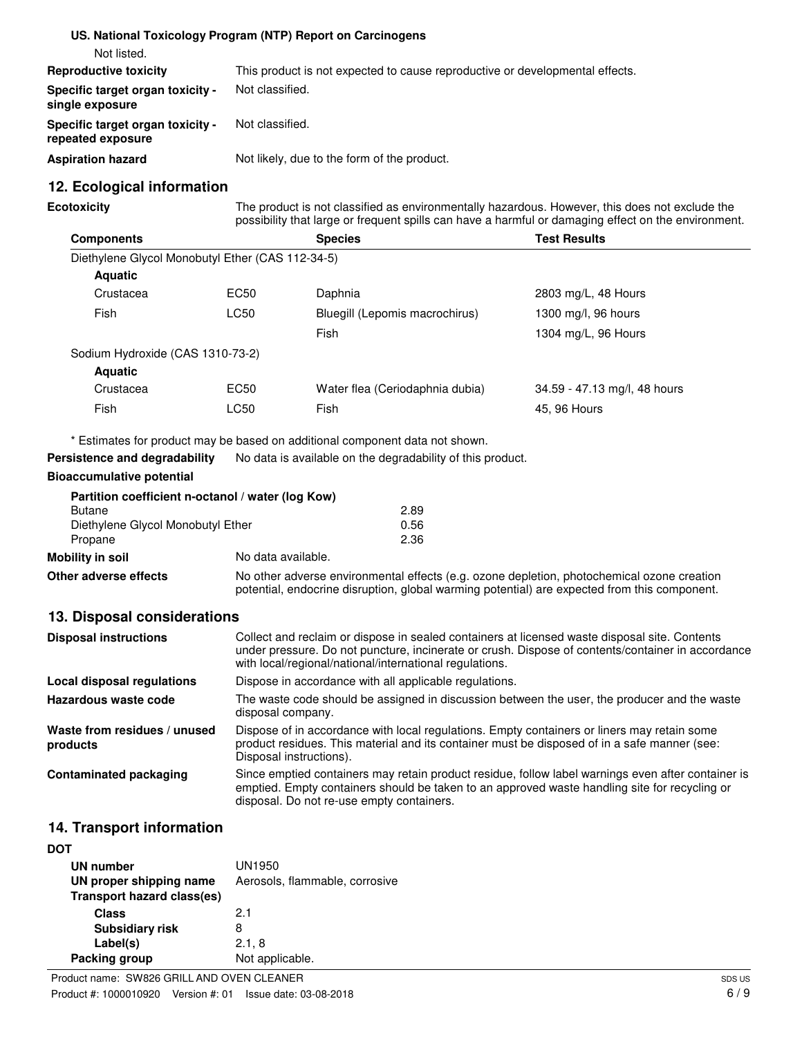|                                                              | US. National Toxicology Program (NTP) Report on Carcinogens                  |
|--------------------------------------------------------------|------------------------------------------------------------------------------|
| Not listed.                                                  |                                                                              |
| <b>Reproductive toxicity</b>                                 | This product is not expected to cause reproductive or developmental effects. |
| <b>Specific target organ toxicity -</b><br>single exposure   | Not classified.                                                              |
| <b>Specific target organ toxicity -</b><br>repeated exposure | Not classified.                                                              |
| <b>Aspiration hazard</b>                                     | Not likely, due to the form of the product.                                  |

### **12. Ecological information**

**Ecotoxicity**

The product is not classified as environmentally hazardous. However, this does not exclude the possibility that large or frequent spills can have a harmful or damaging effect on the environment.

| <b>Components</b>                                |      | <b>Species</b>                  | <b>Test Results</b>          |
|--------------------------------------------------|------|---------------------------------|------------------------------|
| Diethylene Glycol Monobutyl Ether (CAS 112-34-5) |      |                                 |                              |
| <b>Aquatic</b>                                   |      |                                 |                              |
| Crustacea                                        | EC50 | Daphnia                         | 2803 mg/L, 48 Hours          |
| Fish                                             | LC50 | Bluegill (Lepomis macrochirus)  | 1300 mg/l, 96 hours          |
|                                                  |      | Fish                            | 1304 mg/L, 96 Hours          |
| Sodium Hydroxide (CAS 1310-73-2)                 |      |                                 |                              |
| <b>Aquatic</b>                                   |      |                                 |                              |
| Crustacea                                        | EC50 | Water flea (Ceriodaphnia dubia) | 34.59 - 47.13 mg/l, 48 hours |
| Fish                                             | LC50 | Fish                            | 45, 96 Hours                 |

\* Estimates for product may be based on additional component data not shown.

**Persistence and degradability** No data is available on the degradability of this product.

#### **Bioaccumulative potential**

|                                   | Partition coefficient n-octanol / water (log Kow) |      |
|-----------------------------------|---------------------------------------------------|------|
| <b>Butane</b>                     |                                                   | 2.89 |
| Diethylene Glycol Monobutyl Ether |                                                   | 0.56 |
| Propane                           |                                                   | 2.36 |
| Mobility in soil                  | No data available.                                |      |

**Other adverse effects** No other adverse environmental effects (e.g. ozone depletion, photochemical ozone creation potential, endocrine disruption, global warming potential) are expected from this component.

#### **13. Disposal considerations**

| <b>Disposal instructions</b>             | Collect and reclaim or dispose in sealed containers at licensed waste disposal site. Contents<br>under pressure. Do not puncture, incinerate or crush. Dispose of contents/container in accordance<br>with local/regional/national/international regulations. |
|------------------------------------------|---------------------------------------------------------------------------------------------------------------------------------------------------------------------------------------------------------------------------------------------------------------|
| Local disposal regulations               | Dispose in accordance with all applicable regulations.                                                                                                                                                                                                        |
| Hazardous waste code                     | The waste code should be assigned in discussion between the user, the producer and the waste<br>disposal company.                                                                                                                                             |
| Waste from residues / unused<br>products | Dispose of in accordance with local regulations. Empty containers or liners may retain some<br>product residues. This material and its container must be disposed of in a safe manner (see:<br>Disposal instructions).                                        |
| <b>Contaminated packaging</b>            | Since emptied containers may retain product residue, follow label warnings even after container is<br>emptied. Empty containers should be taken to an approved waste handling site for recycling or<br>disposal. Do not re-use empty containers.              |

### **14. Transport information**

| DOT                               |                                |
|-----------------------------------|--------------------------------|
| UN number                         | UN1950                         |
| UN proper shipping name           | Aerosols, flammable, corrosive |
| <b>Transport hazard class(es)</b> |                                |
| Class                             | 21                             |
| <b>Subsidiary risk</b>            | 8                              |
| Label(s)                          | 2.1, 8                         |
| Packing group                     | Not applicable.                |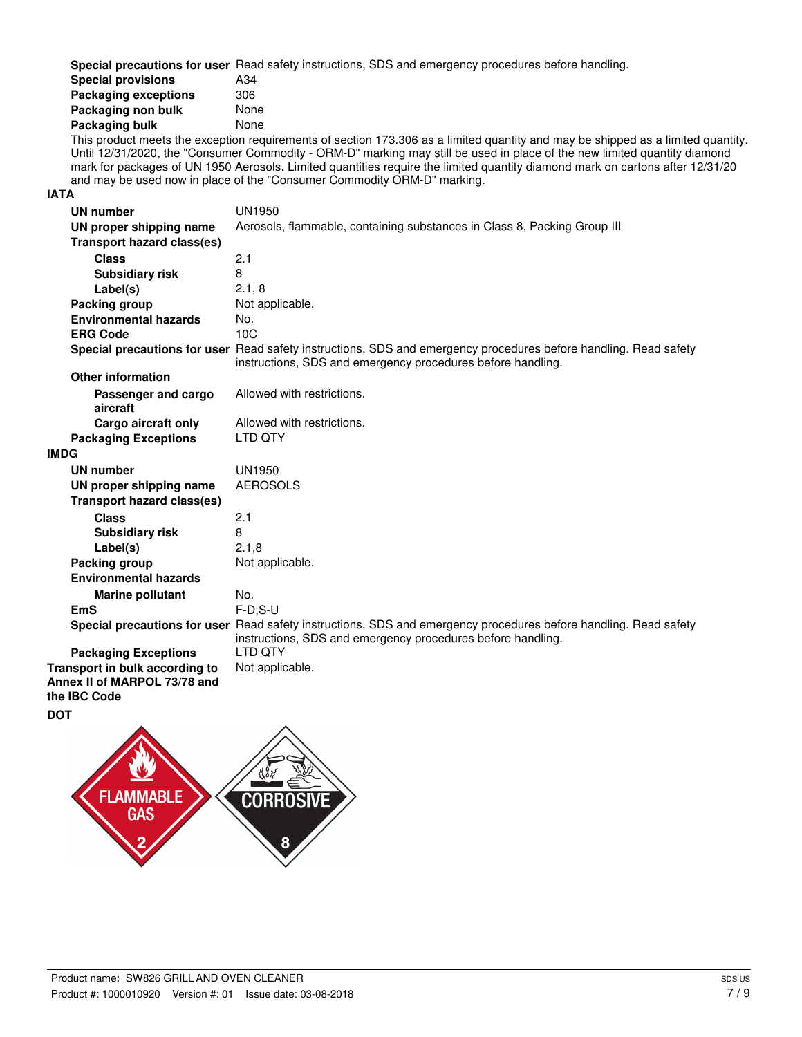**Special precautions for user** Read safety instructions, SDS and emergency procedures before handling.

| <b>Special provisions</b>   | A34  |
|-----------------------------|------|
| <b>Packaging exceptions</b> | 306  |
| Packaging non bulk          | None |
| Packaging bulk              | None |

This product meets the exception requirements of section 173.306 as a limited quantity and may be shipped as a limited quantity. Until 12/31/2020, the "Consumer Commodity - ORM-D" marking may still be used in place of the new limited quantity diamond mark for packages of UN 1950 Aerosols. Limited quantities require the limited quantity diamond mark on cartons after 12/31/20 and may be used now in place of the "Consumer Commodity ORM-D" marking.

#### **IATA**

| UN number                                                      | <b>UN1950</b>                                                                                                                                                                   |
|----------------------------------------------------------------|---------------------------------------------------------------------------------------------------------------------------------------------------------------------------------|
| UN proper shipping name                                        | Aerosols, flammable, containing substances in Class 8, Packing Group III                                                                                                        |
| <b>Transport hazard class(es)</b>                              |                                                                                                                                                                                 |
| <b>Class</b>                                                   | 2.1                                                                                                                                                                             |
| <b>Subsidiary risk</b>                                         | 8                                                                                                                                                                               |
| Label(s)                                                       | 2.1, 8                                                                                                                                                                          |
| Packing group                                                  | Not applicable.                                                                                                                                                                 |
| <b>Environmental hazards</b>                                   | No.                                                                                                                                                                             |
| <b>ERG Code</b>                                                | 10C                                                                                                                                                                             |
|                                                                | Special precautions for user Read safety instructions, SDS and emergency procedures before handling. Read safety<br>instructions, SDS and emergency procedures before handling. |
| <b>Other information</b>                                       |                                                                                                                                                                                 |
| Passenger and cargo<br>aircraft                                | Allowed with restrictions.                                                                                                                                                      |
| Cargo aircraft only                                            | Allowed with restrictions.                                                                                                                                                      |
| <b>Packaging Exceptions</b>                                    | LTD QTY                                                                                                                                                                         |
| <b>IMDG</b>                                                    |                                                                                                                                                                                 |
| UN number                                                      | <b>UN1950</b>                                                                                                                                                                   |
| UN proper shipping name                                        | <b>AEROSOLS</b>                                                                                                                                                                 |
| <b>Transport hazard class(es)</b>                              |                                                                                                                                                                                 |
| <b>Class</b>                                                   | 2.1                                                                                                                                                                             |
| <b>Subsidiary risk</b>                                         | 8                                                                                                                                                                               |
| Label(s)                                                       | 2.1,8                                                                                                                                                                           |
| Packing group                                                  | Not applicable.                                                                                                                                                                 |
| <b>Environmental hazards</b>                                   |                                                                                                                                                                                 |
| <b>Marine pollutant</b>                                        | No.                                                                                                                                                                             |
| <b>EmS</b>                                                     | $F-D.S-U$                                                                                                                                                                       |
|                                                                | Special precautions for user Read safety instructions, SDS and emergency procedures before handling. Read safety<br>instructions, SDS and emergency procedures before handling. |
| <b>Packaging Exceptions</b>                                    | I TD OTY                                                                                                                                                                        |
| Transport in bulk according to<br>Annex II of MARPOL 73/78 and | Not applicable.                                                                                                                                                                 |
| the IBC Code                                                   |                                                                                                                                                                                 |

**DOT**

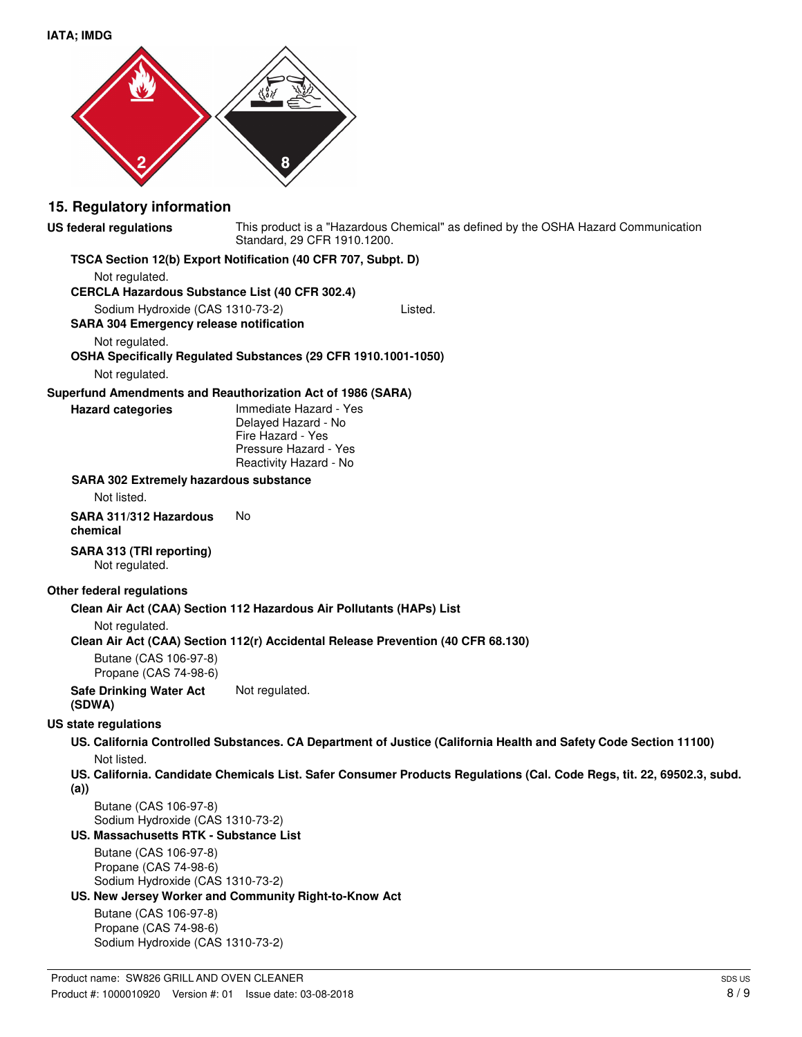

#### **15. Regulatory information**

**US federal regulations**

This product is a "Hazardous Chemical" as defined by the OSHA Hazard Communication Standard, 29 CFR 1910.1200.

#### **TSCA Section 12(b) Export Notification (40 CFR 707, Subpt. D)**

Not regulated.

**CERCLA Hazardous Substance List (40 CFR 302.4)**

Sodium Hydroxide (CAS 1310-73-2) Listed.

**SARA 304 Emergency release notification**

Not regulated.

#### **OSHA Specifically Regulated Substances (29 CFR 1910.1001-1050)**

Not regulated.

**Hazard categories**

#### **Superfund Amendments and Reauthorization Act of 1986 (SARA)**

Immediate Hazard - Yes Delayed Hazard - No Fire Hazard - Yes Pressure Hazard - Yes Reactivity Hazard - No

#### **SARA 302 Extremely hazardous substance**

Not listed.

**SARA 311/312 Hazardous** No **chemical**

## **SARA 313 (TRI reporting)**

Not regulated.

#### **Other federal regulations**

#### **Clean Air Act (CAA) Section 112 Hazardous Air Pollutants (HAPs) List**

Not regulated.

**Clean Air Act (CAA) Section 112(r) Accidental Release Prevention (40 CFR 68.130)**

Butane (CAS 106-97-8) Propane (CAS 74-98-6)

**Safe Drinking Water Act** Not regulated. **(SDWA)**

#### **US state regulations**

#### **US. California Controlled Substances. CA Department of Justice (California Health and Safety Code Section 11100)** Not listed.

**US. California. Candidate Chemicals List. Safer Consumer Products Regulations (Cal. Code Regs, tit. 22, 69502.3, subd. (a))**

Butane (CAS 106-97-8) Sodium Hydroxide (CAS 1310-73-2)

#### **US. Massachusetts RTK - Substance List**

Butane (CAS 106-97-8) Propane (CAS 74-98-6) Sodium Hydroxide (CAS 1310-73-2)

#### **US. New Jersey Worker and Community Right-to-Know Act**

Butane (CAS 106-97-8) Propane (CAS 74-98-6) Sodium Hydroxide (CAS 1310-73-2)